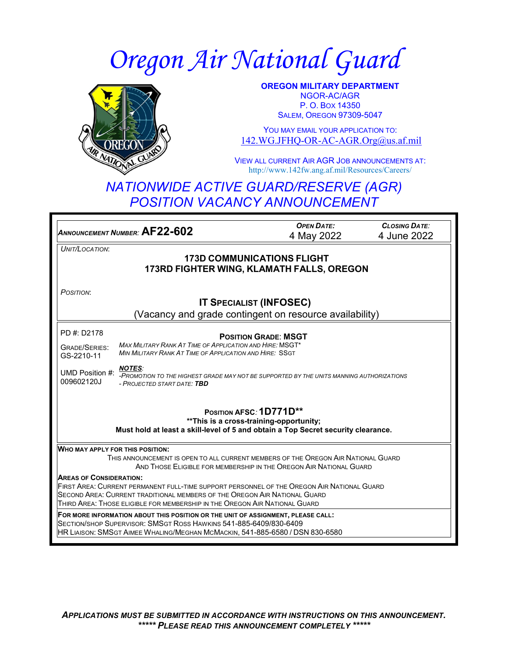# *Oregon Air National Guard*



**OREGON MILITARY DEPARTMENT** NGOR-AC/AGR P. O. BOX 14350 SALEM, OREGON 97309-5047

YOU MAY EMAIL YOUR APPLICATION TO: [142.WG.JFHQ-OR-AC-AGR.Org@us.af.mil](mailto:142.WG.JFHQ-OR-AC-AGR.Org@us.af.mil)

VIEW ALL CURRENT AIR AGR JOB ANNOUNCEMENTS AT: http://www.142fw.ang.af.mil/Resources/Careers/

# *NATIONWIDE ACTIVE GUARD/RESERVE (AGR) POSITION VACANCY ANNOUNCEMENT*

| ANNOUNCEMENT NUMBER: AF22-602                                                                                                                                             | <b>OPEN DATE:</b> | <b>CLOSING DATE:</b> |
|---------------------------------------------------------------------------------------------------------------------------------------------------------------------------|-------------------|----------------------|
|                                                                                                                                                                           | 4 May 2022        | 4 June 2022          |
| UNIT/LOCATION:<br><b>173D COMMUNICATIONS FLIGHT</b>                                                                                                                       |                   |                      |
| 173RD FIGHTER WING, KLAMATH FALLS, OREGON                                                                                                                                 |                   |                      |
|                                                                                                                                                                           |                   |                      |
| POSITION:                                                                                                                                                                 |                   |                      |
| <b>IT SPECIALIST (INFOSEC)</b>                                                                                                                                            |                   |                      |
| (Vacancy and grade contingent on resource availability)                                                                                                                   |                   |                      |
| PD #: D2178<br><b>POSITION GRADE: MSGT</b>                                                                                                                                |                   |                      |
| <b>MAX MILITARY RANK AT TIME OF APPLICATION AND HIRE: MSGT*</b><br><b>GRADE/SERIES:</b>                                                                                   |                   |                      |
| MIN MILITARY RANK AT TIME OF APPLICATION AND HIRE: SSGT<br>GS-2210-11                                                                                                     |                   |                      |
| <b>NOTES:</b><br>UMD Position #:<br>-PROMOTION TO THE HIGHEST GRADE MAY NOT BE SUPPORTED BY THE UNITS MANNING AUTHORIZATIONS<br>009602120J<br>- PROJECTED START DATE: TBD |                   |                      |
| POSITION AFSC: 1D771D**<br>** This is a cross-training-opportunity;<br>Must hold at least a skill-level of 5 and obtain a Top Secret security clearance.                  |                   |                      |
| <b>WHO MAY APPLY FOR THIS POSITION:</b>                                                                                                                                   |                   |                      |
| THIS ANNOUNCEMENT IS OPEN TO ALL CURRENT MEMBERS OF THE OREGON AIR NATIONAL GUARD                                                                                         |                   |                      |
| AND THOSE ELIGIBLE FOR MEMBERSHIP IN THE OREGON AIR NATIONAL GUARD                                                                                                        |                   |                      |
| <b>AREAS OF CONSIDERATION:</b><br>FIRST AREA: CURRENT PERMANENT FULL-TIME SUPPORT PERSONNEL OF THE OREGON AIR NATIONAL GUARD                                              |                   |                      |
| SECOND AREA: CURRENT TRADITIONAL MEMBERS OF THE OREGON AIR NATIONAL GUARD                                                                                                 |                   |                      |
| THIRD AREA: THOSE ELIGIBLE FOR MEMBERSHIP IN THE OREGON AIR NATIONAL GUARD                                                                                                |                   |                      |
| FOR MORE INFORMATION ABOUT THIS POSITION OR THE UNIT OF ASSIGNMENT, PLEASE CALL:                                                                                          |                   |                      |
| SECTION/SHOP SUPERVISOR: SMSGT ROSS HAWKINS 541-885-6409/830-6409<br>HR LIAISON: SMSGT AIMEE WHALING/MEGHAN MCMACKIN, 541-885-6580 / DSN 830-6580                         |                   |                      |
|                                                                                                                                                                           |                   |                      |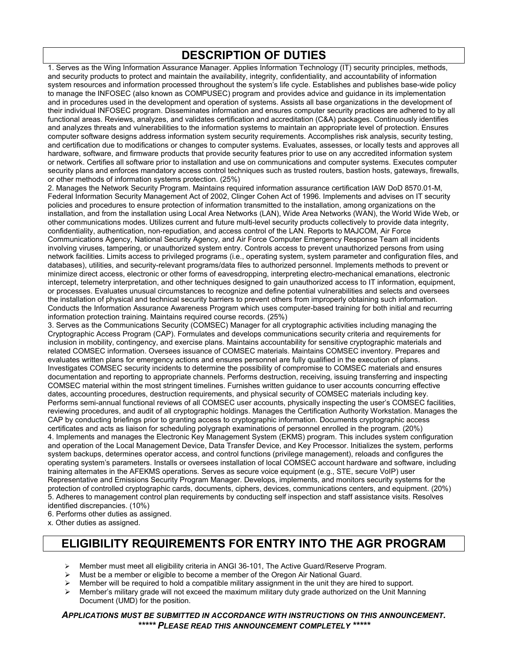# **DESCRIPTION OF DUTIES**

1. Serves as the Wing Information Assurance Manager. Applies Information Technology (IT) security principles, methods, and security products to protect and maintain the availability, integrity, confidentiality, and accountability of information system resources and information processed throughout the system's life cycle. Establishes and publishes base-wide policy to manage the INFOSEC (also known as COMPUSEC) program and provides advice and guidance in its implementation and in procedures used in the development and operation of systems. Assists all base organizations in the development of their individual INFOSEC program. Disseminates information and ensures computer security practices are adhered to by all functional areas. Reviews, analyzes, and validates certification and accreditation (C&A) packages. Continuously identifies and analyzes threats and vulnerabilities to the information systems to maintain an appropriate level of protection. Ensures computer software designs address information system security requirements. Accomplishes risk analysis, security testing, and certification due to modifications or changes to computer systems. Evaluates, assesses, or locally tests and approves all hardware, software, and firmware products that provide security features prior to use on any accredited information system or network. Certifies all software prior to installation and use on communications and computer systems. Executes computer security plans and enforces mandatory access control techniques such as trusted routers, bastion hosts, gateways, firewalls, or other methods of information systems protection. (25%)

2. Manages the Network Security Program. Maintains required information assurance certification IAW DoD 8570.01-M, Federal Information Security Management Act of 2002, Clinger Cohen Act of 1996. Implements and advises on IT security policies and procedures to ensure protection of information transmitted to the installation, among organizations on the installation, and from the installation using Local Area Networks (LAN), Wide Area Networks (WAN), the World Wide Web, or other communications modes. Utilizes current and future multi-level security products collectively to provide data integrity, confidentiality, authentication, non-repudiation, and access control of the LAN. Reports to MAJCOM, Air Force Communications Agency, National Security Agency, and Air Force Computer Emergency Response Team all incidents involving viruses, tampering, or unauthorized system entry. Controls access to prevent unauthorized persons from using network facilities. Limits access to privileged programs (i.e., operating system, system parameter and configuration files, and databases), utilities, and security-relevant programs/data files to authorized personnel. Implements methods to prevent or minimize direct access, electronic or other forms of eavesdropping, interpreting electro-mechanical emanations, electronic intercept, telemetry interpretation, and other techniques designed to gain unauthorized access to IT information, equipment, or processes. Evaluates unusual circumstances to recognize and define potential vulnerabilities and selects and oversees the installation of physical and technical security barriers to prevent others from improperly obtaining such information. Conducts the Information Assurance Awareness Program which uses computer-based training for both initial and recurring information protection training. Maintains required course records. (25%)

3. Serves as the Communications Security (COMSEC) Manager for all cryptographic activities including managing the Cryptographic Access Program (CAP). Formulates and develops communications security criteria and requirements for inclusion in mobility, contingency, and exercise plans. Maintains accountability for sensitive cryptographic materials and related COMSEC information. Oversees issuance of COMSEC materials. Maintains COMSEC inventory. Prepares and evaluates written plans for emergency actions and ensures personnel are fully qualified in the execution of plans. Investigates COMSEC security incidents to determine the possibility of compromise to COMSEC materials and ensures documentation and reporting to appropriate channels. Performs destruction, receiving, issuing transferring and inspecting COMSEC material within the most stringent timelines. Furnishes written guidance to user accounts concurring effective dates, accounting procedures, destruction requirements, and physical security of COMSEC materials including key. Performs semi-annual functional reviews of all COMSEC user accounts, physically inspecting the user's COMSEC facilities, reviewing procedures, and audit of all cryptographic holdings. Manages the Certification Authority Workstation. Manages the CAP by conducting briefings prior to granting access to cryptographic information. Documents cryptographic access certificates and acts as liaison for scheduling polygraph examinations of personnel enrolled in the program. (20%) 4. Implements and manages the Electronic Key Management System (EKMS) program. This includes system configuration and operation of the Local Management Device, Data Transfer Device, and Key Processor. Initializes the system, performs system backups, determines operator access, and control functions (privilege management), reloads and configures the operating system's parameters. Installs or oversees installation of local COMSEC account hardware and software, including training alternates in the AFEKMS operations. Serves as secure voice equipment (e.g., STE, secure VoIP) user Representative and Emissions Security Program Manager. Develops, implements, and monitors security systems for the protection of controlled cryptographic cards, documents, ciphers, devices, communications centers, and equipment. (20%) 5. Adheres to management control plan requirements by conducting self inspection and staff assistance visits. Resolves identified discrepancies. (10%)

6. Performs other duties as assigned.

x. Other duties as assigned.

## **ELIGIBILITY REQUIREMENTS FOR ENTRY INTO THE AGR PROGRAM**

- Member must meet all eligibility criteria in ANGI 36-101, The Active Guard/Reserve Program.
- Must be a member or eligible to become a member of the Oregon Air National Guard.
- Member will be required to hold a compatible military assignment in the unit they are hired to support.
- Member's military grade will not exceed the maximum military duty grade authorized on the Unit Manning Document (UMD) for the position.

*APPLICATIONS MUST BE SUBMITTED IN ACCORDANCE WITH INSTRUCTIONS ON THIS ANNOUNCEMENT. \*\*\*\*\* PLEASE READ THIS ANNOUNCEMENT COMPLETELY \*\*\*\*\**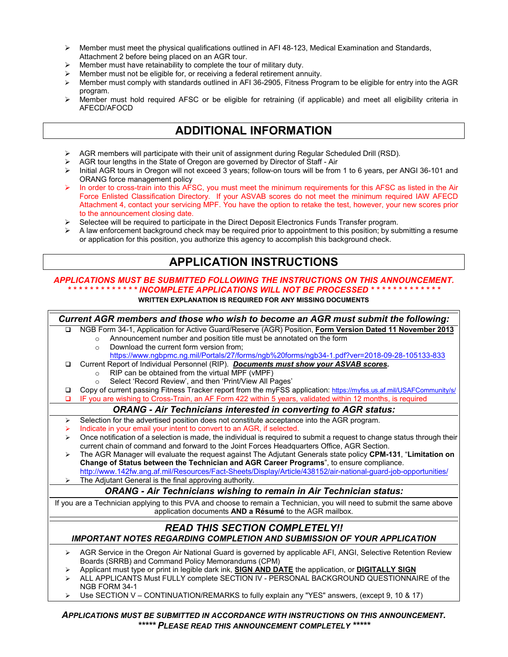- $\triangleright$  Member must meet the physical qualifications outlined in AFI 48-123, Medical Examination and Standards, Attachment 2 before being placed on an AGR tour.
- Member must have retainability to complete the tour of military duty.
- Member must not be eligible for, or receiving a federal retirement annuity.
- Member must comply with standards outlined in AFI 36-2905, Fitness Program to be eligible for entry into the AGR program.
- Member must hold required AFSC or be eligible for retraining (if applicable) and meet all eligibility criteria in AFECD/AFOCD

### **ADDITIONAL INFORMATION**

- $\triangleright$  AGR members will participate with their unit of assignment during Regular Scheduled Drill (RSD).
- AGR tour lengths in the State of Oregon are governed by Director of Staff Air
- Initial AGR tours in Oregon will not exceed 3 years; follow-on tours will be from 1 to 6 years, per ANGI 36-101 and ORANG force management policy
- In order to cross-train into this AFSC, you must meet the minimum requirements for this AFSC as listed in the Air Force Enlisted Classification Directory. If your ASVAB scores do not meet the minimum required IAW AFECD Attachment 4, contact your servicing MPF. You have the option to retake the test, however, your new scores prior to the announcement closing date.
- $\triangleright$  Selectee will be required to participate in the Direct Deposit Electronics Funds Transfer program.
- A law enforcement background check may be required prior to appointment to this position; by submitting a resume or application for this position, you authorize this agency to accomplish this background check.

### **APPLICATION INSTRUCTIONS**

#### *APPLICATIONS MUST BE SUBMITTED FOLLOWING THE INSTRUCTIONS ON THIS ANNOUNCEMENT. \* \* \* \* \* \* \* \* \* \* \* \* \* INCOMPLETE APPLICATIONS WILL NOT BE PROCESSED \* \* \* \* \* \* \* \* \* \* \* \* \**

**WRITTEN EXPLANATION IS REQUIRED FOR ANY MISSING DOCUMENTS**

*Current AGR members and those who wish to become an AGR must submit the following:* NGB Form 34-1, Application for Active Guard/Reserve (AGR) Position, **Form Version Dated 11 November 2013** o Announcement number and position title must be annotated on the form  $\circ$  Download the current form version from: Download the current form version from; <https://www.ngbpmc.ng.mil/Portals/27/forms/ngb%20forms/ngb34-1.pdf?ver=2018-09-28-105133-833> Current Report of Individual Personnel (RIP). *Documents must show your ASVAB scores.* o RIP can be obtained from the virtual MPF (vMPF) Select 'Record Review', and then 'Print/View All Pages' Copy of current passing Fitness Tracker report from the myFSS application:<https://myfss.us.af.mil/USAFCommunity/s/> IF you are wishing to Cross-Train, an AF Form 422 within 5 years, validated within 12 months, is required *ORANG - Air Technicians interested in converting to AGR status:*  $\triangleright$  Selection for the advertised position does not constitute acceptance into the AGR program. Indicate in your email your intent to convert to an AGR, if selected.  $\triangleright$  Once notification of a selection is made, the individual is required to submit a request to change status through their current chain of command and forward to the Joint Forces Headquarters Office, AGR Section. The AGR Manager will evaluate the request against The Adjutant Generals state policy **CPM-131**, "**Limitation on Change of Status between the Technician and AGR Career Programs**", to ensure compliance. <http://www.142fw.ang.af.mil/Resources/Fact-Sheets/Display/Article/438152/air-national-guard-job-opportunities/>  $\triangleright$  The Adjutant General is the final approving authority. *ORANG - Air Technicians wishing to remain in Air Technician status:* If you are a Technician applying to this PVA and choose to remain a Technician, you will need to submit the same above application documents **AND a Résumé** to the AGR mailbox. *READ THIS SECTION COMPLETELY!! IMPORTANT NOTES REGARDING COMPLETION AND SUBMISSION OF YOUR APPLICATION* ▶ AGR Service in the Oregon Air National Guard is governed by applicable AFI, ANGI, Selective Retention Review Boards (SRRB) and Command Policy Memorandums (CPM) Applicant must type or print in legible dark ink, **SIGN AND DATE** the application, or **DIGITALLY SIGN** > ALL APPLICANTS Must FULLY complete SECTION IV - PERSONAL BACKGROUND QUESTIONNAIRE of the NGB FORM 34-1  $\triangleright$  Use SECTION V – CONTINUATION/REMARKS to fully explain any "YES" answers, (except 9, 10 & 17)

#### *APPLICATIONS MUST BE SUBMITTED IN ACCORDANCE WITH INSTRUCTIONS ON THIS ANNOUNCEMENT. \*\*\*\*\* PLEASE READ THIS ANNOUNCEMENT COMPLETELY \*\*\*\*\**